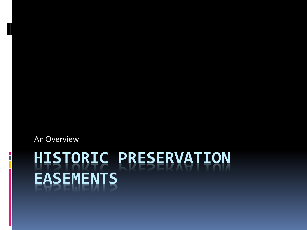# **HISTORIC PRESERVATION EASEMENTS**

An Overview

E<br>F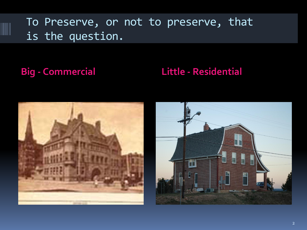### To Preserve, or not to preserve, that is the question.

### **Big - Commercial Little - Residential**



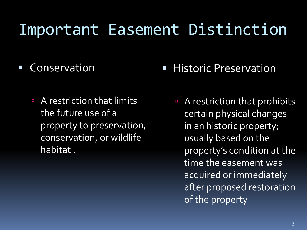# Important Easement Distinction

### Conservation

**A** restriction that limits the future use of a property to preservation, conservation, or wildlife habitat .

### **Historic Preservation**

 A restriction that prohibits certain physical changes in an historic property; usually based on the property's condition at the time the easement was acquired or immediately after proposed restoration of the property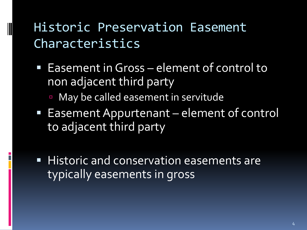### Historic Preservation Easement Characteristics

- Easement in Gross element of control to non adjacent third party
	- **May be called easement in servitude**
- Easement Appurtenant element of control to adjacent third party
- **Historic and conservation easements are** typically easements in gross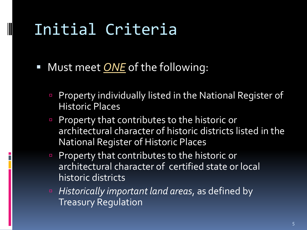# Initial Criteria

- Must meet *ONE* of the following:
	- **Property individually listed in the National Register of** Historic Places
	- **Property that contributes to the historic or** architectural character of historic districts listed in the National Register of Historic Places
	- **Property that contributes to the historic or** architectural character of certified state or local historic districts
	- *Historically important land areas*, as defined by Treasury Regulation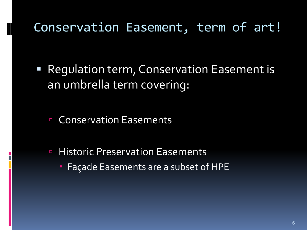### Conservation Easement, term of art!

 Regulation term, Conservation Easement is an umbrella term covering:

■ Conservation Easements

**E** Historic Preservation Easements **Façade Easements are a subset of HPE**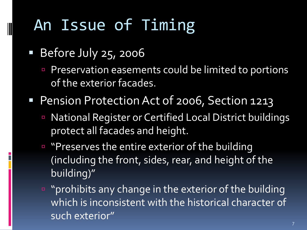# An Issue of Timing

- Before July 25, 2006
	- **Preservation easements could be limited to portions** of the exterior facades.
- **Pension Protection Act of 2006, Section 1213** 
	- National Register or Certified Local District buildings protect all facades and height.
	- " "Preserves the entire exterior of the building (including the front, sides, rear, and height of the building)"
	- **"** "prohibits any change in the exterior of the building which is inconsistent with the historical character of such exterior"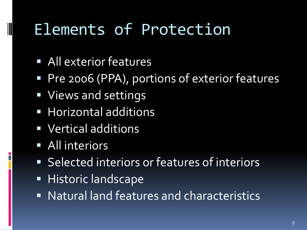# Elements of Protection

- All exterior features
- Pre 2006 (PPA), portions of exterior features
- **Views and settings**
- **Horizontal additions**
- **Vertical additions**
- **All interiors**

- Selected interiors or features of interiors
- **Historic landscape**
- Natural land features and characteristics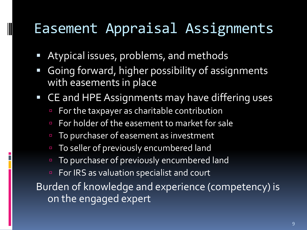### Easement Appraisal Assignments

Atypical issues, problems, and methods

- Going forward, higher possibility of assignments with easements in place
- CE and HPE Assignments may have differing uses
	- For the taxpayer as charitable contribution
	- For holder of the easement to market for sale
	- To purchaser of easement as investment
	- To seller of previously encumbered land
	- **To purchaser of previously encumbered land**
	- **For IRS as valuation specialist and court**

Burden of knowledge and experience (competency) is on the engaged expert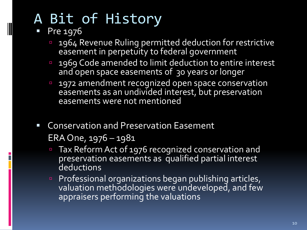- Pre 1976
	- **1964 Revenue Ruling permitted deduction for restrictive** easement in perpetuity to federal government
	- **1969 Code amended to limit deduction to entire interest** and open space easements of 30 years or longer
	- 1972 amendment recognized open space conservation easements as an undivided interest, but preservation easements were not mentioned
- **EX Conservation and Preservation Easement**  ERA One, 1976 – 1981
	- **Tax Reform Act of 1976 recognized conservation and** preservation easements as qualified partial interest **deductions**
	- **Professional organizations began publishing articles,** valuation methodologies were undeveloped, and few appraisers performing the valuations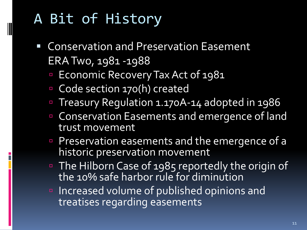- Conservation and Preservation Easement ERA Two, 1981 -1988
	- Economic Recovery Tax Act of 1981
	- Code section 170(h) created
	- Treasury Regulation 1.170A-14 adopted in 1986
	- **Example 2** Conservation Easements and emergence of land trust movement
	- Preservation easements and the emergence of a historic preservation movement
	- The Hilborn Case of 1985 reportedly the origin of the 10% safe harbor rule for diminution
	- **Increased volume of published opinions and** treatises regarding easements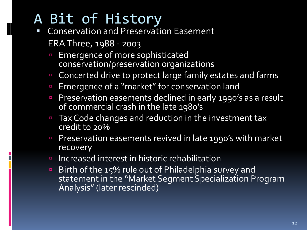- Conservation and Preservation Easement ERA Three, 1988 - 2003
	- **Emergence of more sophisticated** conservation/preservation organizations
	- Concerted drive to protect large family estates and farms
	- **Emergence of a "market" for conservation land**
	- Preservation easements declined in early 1990's as a result of commercial crash in the late 1980's
	- Tax Code changes and reduction in the investment tax credit to 20%
	- Preservation easements revived in late 1990's with market recovery
	- Increased interest in historic rehabilitation
	- Birth of the 15% rule out of Philadelphia survey and statement in the "Market Segment Specialization Program Analysis" (later rescinded)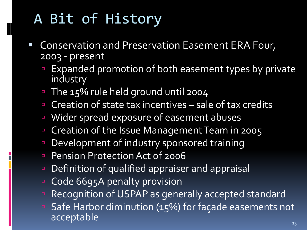- **EX Conservation and Preservation Easement ERA Four,** 2003 - present
	- **Expanded promotion of both easement types by private** industry
	- The 15% rule held ground until 2004
	- **Creation of state tax incentives sale of tax credits**
	- Wider spread exposure of easement abuses
	- Creation of the Issue Management Team in 2005
	- Development of industry sponsored training
	- **Pension Protection Act of 2006**
	- Definition of qualified appraiser and appraisal
	- Code 6695A penalty provision
	- **Recognition of USPAP** as generally accepted standard
	- Safe Harbor diminution (15%) for façade easements not acceptable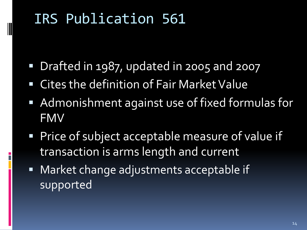### IRS Publication 561

- **Drafted in 1987, updated in 2005 and 2007**
- Cites the definition of Fair Market Value
- **Admonishment against use of fixed formulas for** FMV
- **Price of subject acceptable measure of value if** transaction is arms length and current
- **Market change adjustments acceptable if** supported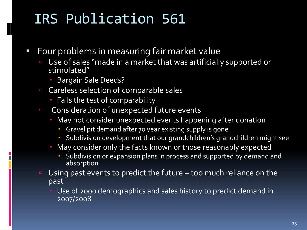### IRS Publication 561

- **Four problems in measuring fair market value** 
	- Use of sales "made in a market that was artificially supported or stimulated"
		- **Bargain Sale Deeds?**
	- **EXP** Careless selection of comparable sales
		- **Fails the test of comparability**
	- **EXPLO CONSideration of unexpected future events** 
		- **May not consider unexpected events happening after donation** 
			- Gravel pit demand after 70 year existing supply is gone
			- Subdivision development that our grandchildren's grandchildren might see
		- May consider only the facts known or those reasonably expected
			- Subdivision or expansion plans in process and supported by demand and absorption
	- Using past events to predict the future too much reliance on the past
		- Use of 2000 demographics and sales history to predict demand in 2007/2008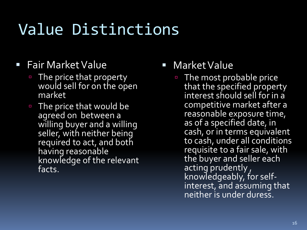# Value Distinctions

- **Fair Market Value** 
	- The price that property would sell for on the open market
	- The price that would be agreed on between a willing buyer and a willing seller, with neither being required to act, and both having reasonable knowledge of the relevant facts.
- Market Value
	- The most probable price that the specified property interest should sell for in a competitive market after a reasonable exposure time, as of a specified date, in cash, or in terms equivalent to cash, under all conditions requisite to a fair sale, with the buyer and seller each acting prudently, knowledgeably, for selfinterest, and assuming that neither is under duress.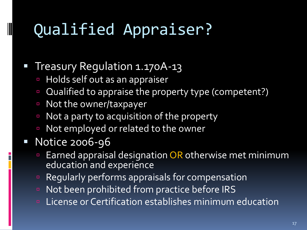# Qualified Appraiser?

### Treasury Regulation 1.170A-13

- **Holds self out as an appraiser**
- Qualified to appraise the property type (competent?)
- Not the owner/taxpayer
- Not a party to acquisition of the property
- Not employed or related to the owner

### Notice 2006-96

- **Earned appraisal designation OR otherwise met minimum** education and experience
- **Requiarly performs appraisals for compensation**
- Not been prohibited from practice before IRS
- **E** License or Certification establishes minimum education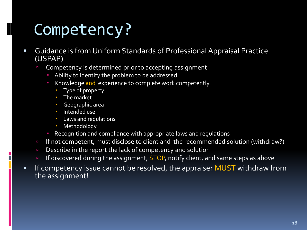# Competency?

- Guidance is from Uniform Standards of Professional Appraisal Practice (USPAP)
	- Competency is determined prior to accepting assignment
		- Ability to identify the problem to be addressed
		- Knowledge and experience to complete work competently
			- Type of property
			- **The market**
			- Geographic area
			- · Intended use
			- Laws and regulations
			- **Methodology**
		- Recognition and compliance with appropriate laws and regulations
	- If not competent, must disclose to client and the recommended solution (withdraw?)
	- Describe in the report the lack of competency and solution
	- If discovered during the assignment, STOP, notify client, and same steps as above
- **IF Competency issue cannot be resolved, the appraiser MUST withdraw from** the assignment!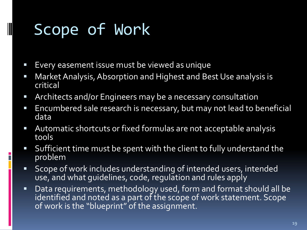# Scope of Work

- **Exery easement issue must be viewed as unique**
- **Market Analysis, Absorption and Highest and Best Use analysis is** critical
- Architects and/or Engineers may be a necessary consultation
- **Encumbered sale research is necessary, but may not lead to beneficial** data
- Automatic shortcuts or fixed formulas are not acceptable analysis tools
- Sufficient time must be spent with the client to fully understand the problem
- Scope of work includes understanding of intended users, intended use, and what guidelines, code, regulation and rules apply
- **Data requirements, methodology used, form and format should all be** identified and noted as a part of the scope of work statement. Scope of work is the "blueprint" of the assignment.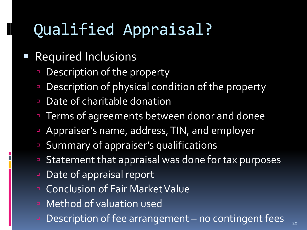# Qualified Appraisal?

### Required Inclusions

- Description of the property
- Description of physical condition of the property
- Date of charitable donation
- **Terms of agreements between donor and donee**
- **Appraiser's name, address, TIN, and employer**
- Summary of appraiser's qualifications
- Statement that appraisal was done for tax purposes
- Date of appraisal report
- Conclusion of Fair Market Value
- Method of valuation used
- $\blacksquare$  Description of fee arrangement no contingent fees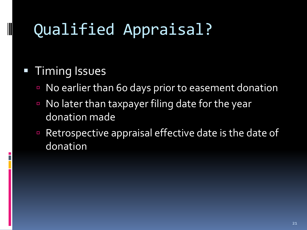# Qualified Appraisal?

### **Timing Issues**

- No earlier than 60 days prior to easement donation
- No later than taxpayer filing date for the year donation made
- Retrospective appraisal effective date is the date of donation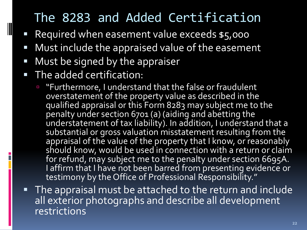### The 8283 and Added Certification

- Required when easement value exceeds \$5,000
- **Must include the appraised value of the easement**
- **Must be signed by the appraiser**
- **The added certification:** 
	- "Furthermore, I understand that the false or fraudulent overstatement of the property value as described in the qualified appraisal or this Form 8283 may subject me to the penalty under section 6701 (a) (aiding and abetting the understatement of tax liability). In addition, I understand that a substantial or gross valuation misstatement resulting from the appraisal of the value of the property that I know, or reasonably should know, would be used in connection with a return or claim for refund, may subject me to the penalty under section 6695A. I affirm that I have not been barred from presenting evidence or testimony by the Office of Professional Responsibility."
- **The appraisal must be attached to the return and include** all exterior photographs and describe all development restrictions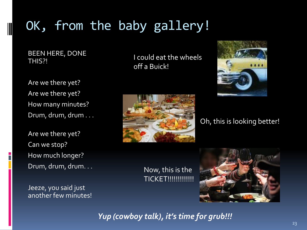### OK, from the baby gallery!

BEEN HERE, DONE THIS?!

Are we there yet? Are we there yet? How many minutes? Drum, drum, drum . . .

Are we there yet? Can we stop? How much longer? Drum, drum, drum. . .

Jeeze, you said just another few minutes! I could eat the wheels off a Buick!





### Oh, this is looking better!

Now, this is the **TICKET!!!!!!!!!!!!!!!** 



*Yup (cowboy talk), it's time for grub!!!*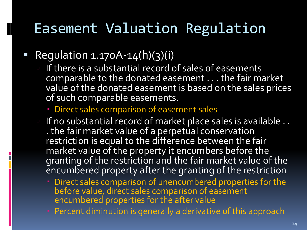### Easement Valuation Regulation

### Regulation  $1.170A - 14(h)(3)(i)$

- If there is a substantial record of sales of easements comparable to the donated easement . . . the fair market value of the donated easement is based on the sales prices of such comparable easements.
	- Direct sales comparison of easement sales
- If no substantial record of market place sales is available .. . the fair market value of a perpetual conservation restriction is equal to the difference between the fair market value of the property it encumbers before the granting of the restriction and the fair market value of the encumbered property after the granting of the restriction
	- Direct sales comparison of unencumbered properties for the before value, direct sales comparison of easement encumbered properties for the after value
	- Percent diminution is generally a derivative of this approach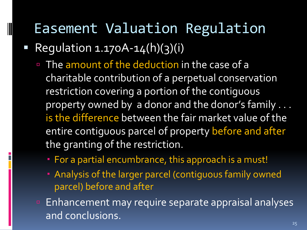### Easement Valuation Regulation

Regulation  $1.170A - 14(h)(3)(i)$ 

- The amount of the deduction in the case of a charitable contribution of a perpetual conservation restriction covering a portion of the contiguous property owned by a donor and the donor's family . . . is the difference between the fair market value of the entire contiguous parcel of property before and after the granting of the restriction.
	- For a partial encumbrance, this approach is a must!
	- Analysis of the larger parcel (contiguous family owned parcel) before and after
- **Enhancement may require separate appraisal analyses** and conclusions.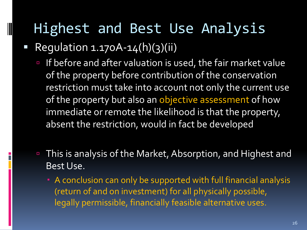### Highest and Best Use Analysis

Regulation  $1.170A - 14(h)(3)(ii)$ 

- If before and after valuation is used, the fair market value of the property before contribution of the conservation restriction must take into account not only the current use of the property but also an objective assessment of how immediate or remote the likelihood is that the property, absent the restriction, would in fact be developed
- This is analysis of the Market, Absorption, and Highest and Best Use.
	- A conclusion can only be supported with full financial analysis (return of and on investment) for all physically possible, legally permissible, financially feasible alternative uses.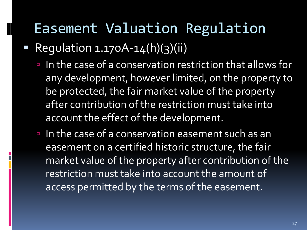### Easement Valuation Regulation

Regulation  $1.170A-14(h)(3)(ii)$ 

- In the case of a conservation restriction that allows for any development, however limited, on the property to be protected, the fair market value of the property after contribution of the restriction must take into account the effect of the development.
- In the case of a conservation easement such as an easement on a certified historic structure, the fair market value of the property after contribution of the restriction must take into account the amount of access permitted by the terms of the easement.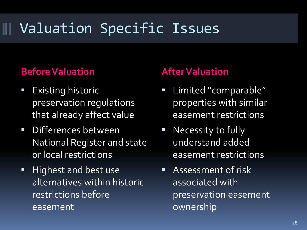## Valuation Specific Issues

### **Before Valuation After Valuation**

- Existing historic preservation regulations that already affect value
- Differences between National Register and state or local restrictions
- **Highest and best use** alternatives within historic restrictions before easement

- **E** Limited "comparable" properties with similar easement restrictions
- **Necessity to fully** understand added easement restrictions
- Assessment of risk associated with preservation easement ownership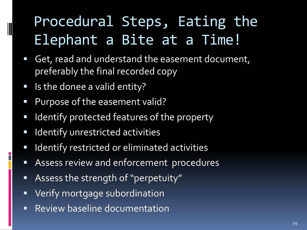# Procedural Steps, Eating the Elephant a Bite at a Time!

- Get, read and understand the easement document, preferably the final recorded copy
- **If** Is the donee a valid entity?

- **Purpose of the easement valid?**
- **If Identify protected features of the property**
- **IDENTIFY UNTER** description activities
- **I Identify restricted or eliminated activities**
- **Assess review and enforcement procedures**
- Assess the strength of "perpetuity"
- **•** Verify mortgage subordination
- **Review baseline documentation**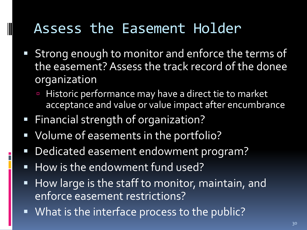### Assess the Easement Holder

- **Strong enough to monitor and enforce the terms of** the easement? Assess the track record of the donee organization
	- **Historic performance may have a direct tie to market** acceptance and value or value impact after encumbrance
- Financial strength of organization?

- Volume of easements in the portfolio?
- Dedicated easement endowment program?
- How is the endowment fund used?
- **How large is the staff to monitor, maintain, and** enforce easement restrictions?
- **What is the interface process to the public?**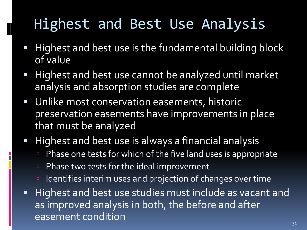# Highest and Best Use Analysis

- Highest and best use is the fundamental building block of value
- **Highest and best use cannot be analyzed until market** analysis and absorption studies are complete
- **Unlike most conservation easements, historic** preservation easements have improvements in place that must be analyzed
- Highest and best use is always a financial analysis
	- Phase one tests for which of the five land uses is appropriate
	- Phase two tests for the ideal improvement
	- Indentifies interim uses and projection of changes over time
- **Highest and best use studies must include as vacant and** as improved analysis in both, the before and after easement condition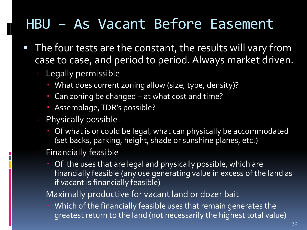### HBU – As Vacant Before Easement

- **The four tests are the constant, the results will vary from** case to case, and period to period. Always market driven.
	- **Example 1** Legally permissible
		- What does current zoning allow (size, type, density)?
		- Can zoning be changed at what cost and time?
		- Assemblage, TDR's possible?
	- Physically possible
		- Of what is or could be legal, what can physically be accommodated (set backs, parking, height, shade or sunshine planes, etc.)
	- **Example Financially feasible** 
		- Of the uses that are legal and physically possible, which are financially feasible (any use generating value in excess of the land as if vacant is financially feasible)
	- Maximally productive for vacant land or dozer bait
		- **Which of the financially feasible uses that remain generates the** greatest return to the land (not necessarily the highest total value)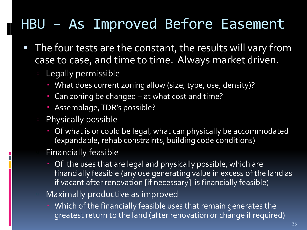## HBU – As Improved Before Easement

- The four tests are the constant, the results will vary from case to case, and time to time. Always market driven.
	- **Legally permissible**

- What does current zoning allow (size, type, use, density)?
- Can zoning be changed at what cost and time?
- Assemblage, TDR's possible?
- **Physically possible** 
	- **Of what is or could be legal, what can physically be accommodated** (expandable, rehab constraints, building code conditions)
- **Example Financially feasible** 
	- Of the uses that are legal and physically possible, which are financially feasible (any use generating value in excess of the land as if vacant after renovation [if necessary] is financially feasible)
- **E** Maximally productive as improved
	- **•** Which of the financially feasible uses that remain generates the greatest return to the land (after renovation or change if required)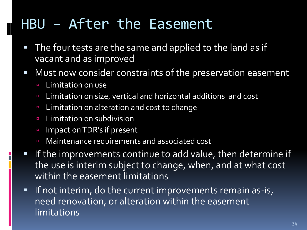### HBU – After the Easement

- The four tests are the same and applied to the land as if vacant and as improved
- Must now consider constraints of the preservation easement
	- **E** Limitation on use
	- Limitation on size, vertical and horizontal additions and cost
	- **Limitation on alteration and cost to change**
	- Limitation on subdivision
	- Impact on TDR's if present
	- Maintenance requirements and associated cost
- If the improvements continue to add value, then determine if the use is interim subject to change, when, and at what cost within the easement limitations
- **If not interim, do the current improvements remain as-is,** need renovation, or alteration within the easement limitations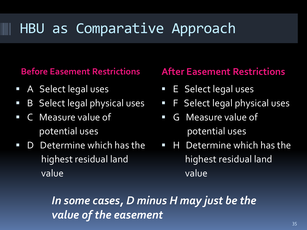### HBU as Comparative Approach

- **A** Select legal uses
- **B** Select legal physical uses
- C Measure value of potential uses
- D Determine which has the highest residual land value

### **Before Easement Restrictions After Easement Restrictions**

- **E** Select legal uses
- **F** Select legal physical uses
- G Measure value of potential uses
- **H** Determine which has the highest residual land value

*In some cases, D minus H may just be the value of the easement*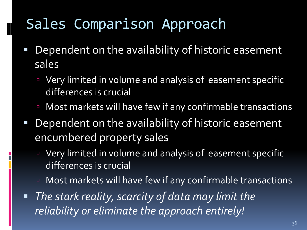### Sales Comparison Approach

- Dependent on the availability of historic easement sales
	- Very limited in volume and analysis of easement specific differences is crucial
	- **E** Most markets will have few if any confirmable transactions
- Dependent on the availability of historic easement encumbered property sales
	- Very limited in volume and analysis of easement specific differences is crucial
	- **E** Most markets will have few if any confirmable transactions
- *The stark reality, scarcity of data may limit the reliability or eliminate the approach entirely!*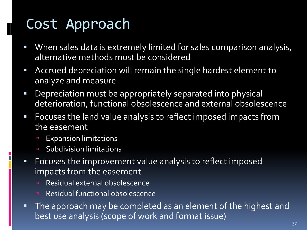## Cost Approach

- **When sales data is extremely limited for sales comparison analysis,** alternative methods must be considered
- Accrued depreciation will remain the single hardest element to analyze and measure
- Depreciation must be appropriately separated into physical deterioration, functional obsolescence and external obsolescence
- Focuses the land value analysis to reflect imposed impacts from the easement
	- Expansion limitations
	- **E** Subdivision limitations
- **FIM** Focuses the improvement value analysis to reflect imposed impacts from the easement
	- Residual external obsolescence
	- Residual functional obsolescence
- The approach may be completed as an element of the highest and best use analysis (scope of work and format issue)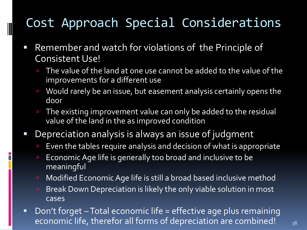### Cost Approach Special Considerations

- Remember and watch for violations of the Principle of Consistent Use!
	- The value of the land at one use cannot be added to the value of the improvements for a different use
	- Would rarely be an issue, but easement analysis certainly opens the door
	- The existing improvement value can only be added to the residual value of the land in the as improved condition
- Depreciation analysis is always an issue of judgment
	- **Even the tables require analysis and decision of what is appropriate**
	- **Economic Age life is generally too broad and inclusive to be** meaningful
	- **EXOM** Modified Economic Age life is still a broad based inclusive method
	- **Break Down Depreciation is likely the only viable solution in most** cases
- Don't forget Total economic life = effective age plus remaining economic life, therefor all forms of depreciation are combined! 38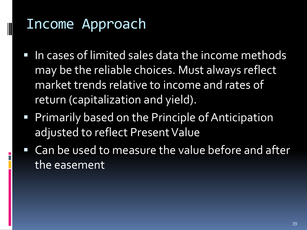### Income Approach

- **IF In cases of limited sales data the income methods** may be the reliable choices. Must always reflect market trends relative to income and rates of return (capitalization and yield).
- **Primarily based on the Principle of Anticipation** adjusted to reflect Present Value
- Can be used to measure the value before and after the easement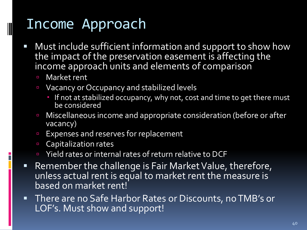### Income Approach

- **Must include sufficient information and support to show how** the impact of the preservation easement is affecting the income approach units and elements of comparison
	- **E** Market rent
	- Vacancy or Occupancy and stabilized levels
		- **If not at stabilized occupancy, why not, cost and time to get there must** be considered
	- **Miscellaneous income and appropriate consideration (before or after** vacancy)
	- **Expenses and reserves for replacement**
	- **Capitalization rates**
	- Yield rates or internal rates of return relative to DCF
- Remember the challenge is Fair Market Value, therefore, unless actual rent is equal to market rent the measure is based on market rent!
- There are no Safe Harbor Rates or Discounts, no TMB's or LOF's. Must show and support!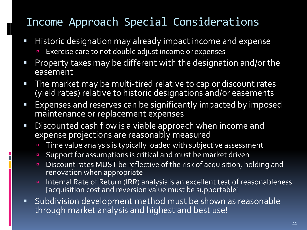### Income Approach Special Considerations

- **Historic designation may already impact income and expense** 
	- Exercise care to not double adjust income or expenses
- **Property taxes may be different with the designation and/or the** easement
- **The market may be multi-tired relative to cap or discount rates** (yield rates) relative to historic designations and/or easements
- **Expenses and reserves can be significantly impacted by imposed** maintenance or replacement expenses
- **Discounted cash flow is a viable approach when income and** expense projections are reasonably measured
	- Time value analysis is typically loaded with subjective assessment
	- Support for assumptions is critical and must be market driven
	- Discount rates MUST be reflective of the risk of acquisition, holding and renovation when appropriate
	- Internal Rate of Return (IRR) analysis is an excellent test of reasonableness [acquisition cost and reversion value must be supportable]
- Subdivision development method must be shown as reasonable through market analysis and highest and best use!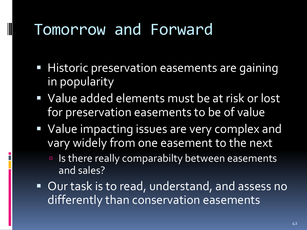## Tomorrow and Forward

- **Historic preservation easements are gaining** in popularity
- **Value added elements must be at risk or lost** for preservation easements to be of value
- **Value impacting issues are very complex and** vary widely from one easement to the next
	- Is there really comparabilty between easements and sales?
- Our task is to read, understand, and assess no differently than conservation easements